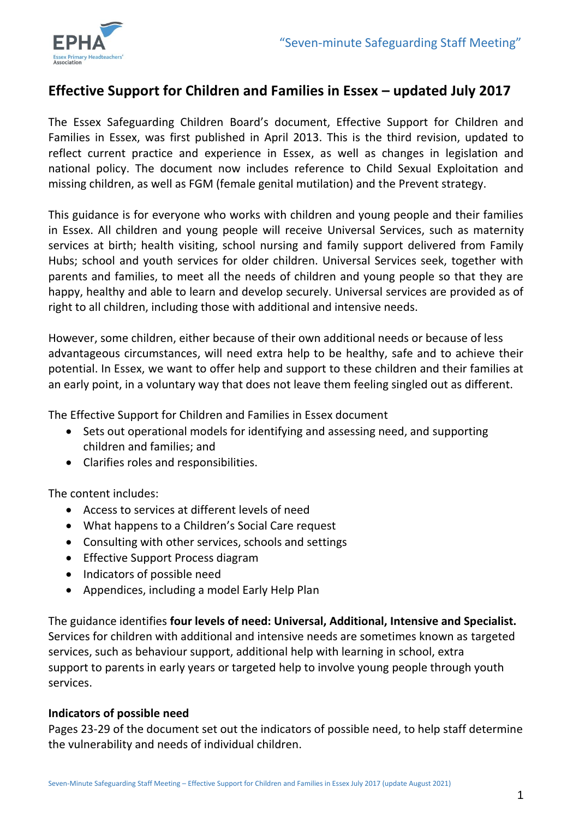

# **Effective Support for Children and Families in Essex – updated July 2017**

The Essex Safeguarding Children Board's document, Effective Support for Children and Families in Essex, was first published in April 2013. This is the third revision, updated to reflect current practice and experience in Essex, as well as changes in legislation and national policy. The document now includes reference to Child Sexual Exploitation and missing children, as well as FGM (female genital mutilation) and the Prevent strategy.

This guidance is for everyone who works with children and young people and their families in Essex. All children and young people will receive Universal Services, such as maternity services at birth; health visiting, school nursing and family support delivered from Family Hubs; school and youth services for older children. Universal Services seek, together with parents and families, to meet all the needs of children and young people so that they are happy, healthy and able to learn and develop securely. Universal services are provided as of right to all children, including those with additional and intensive needs.

However, some children, either because of their own additional needs or because of less advantageous circumstances, will need extra help to be healthy, safe and to achieve their potential. In Essex, we want to offer help and support to these children and their families at an early point, in a voluntary way that does not leave them feeling singled out as different.

The Effective Support for Children and Families in Essex document

- Sets out operational models for identifying and assessing need, and supporting children and families; and
- Clarifies roles and responsibilities.

The content includes:

- Access to services at different levels of need
- What happens to a Children's Social Care request
- Consulting with other services, schools and settings
- Effective Support Process diagram
- Indicators of possible need
- Appendices, including a model Early Help Plan

The guidance identifies **four levels of need: Universal, Additional, Intensive and Specialist.**  Services for children with additional and intensive needs are sometimes known as targeted services, such as behaviour support, additional help with learning in school, extra support to parents in early years or targeted help to involve young people through youth services.

### **Indicators of possible need**

Pages 23-29 of the document set out the indicators of possible need, to help staff determine the vulnerability and needs of individual children.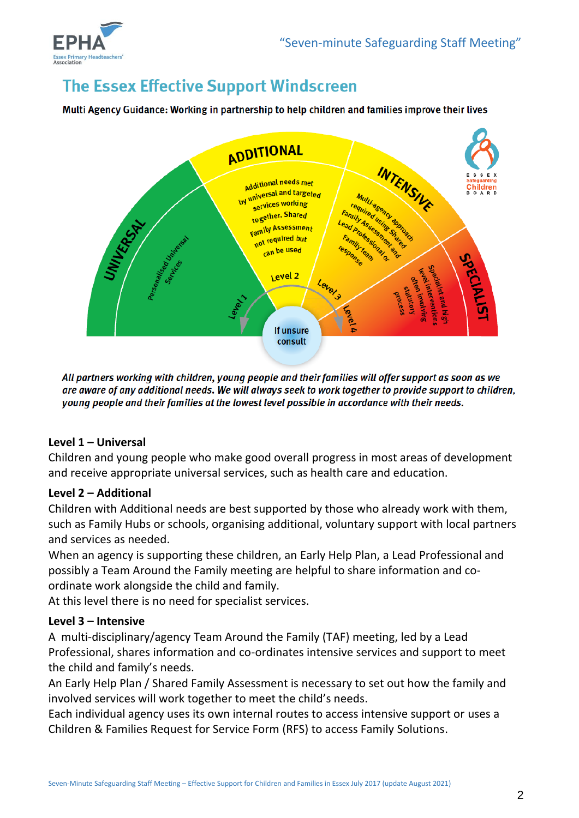

# **The Essex Effective Support Windscreen**

Multi Agency Guidance: Working in partnership to help children and families improve their lives



All partners working with children, young people and their families will offer support as soon as we are aware of any additional needs. We will always seek to work together to provide support to children, young people and their families at the lowest level possible in accordance with their needs.

### **Level 1 – Universal**

Children and young people who make good overall progress in most areas of development and receive appropriate universal services, such as health care and education.

#### **Level 2 – Additional**

Children with Additional needs are best supported by those who already work with them, such as Family Hubs or schools, organising additional, voluntary support with local partners and services as needed.

When an agency is supporting these children, an Early Help Plan, a Lead Professional and possibly a Team Around the Family meeting are helpful to share information and coordinate work alongside the child and family.

At this level there is no need for specialist services.

#### **Level 3 – Intensive**

A multi-disciplinary/agency Team Around the Family (TAF) meeting, led by a Lead Professional, shares information and co-ordinates intensive services and support to meet the child and family's needs.

An Early Help Plan / Shared Family Assessment is necessary to set out how the family and involved services will work together to meet the child's needs.

Each individual agency uses its own internal routes to access intensive support or uses a Children & Families Request for Service Form (RFS) to access Family Solutions.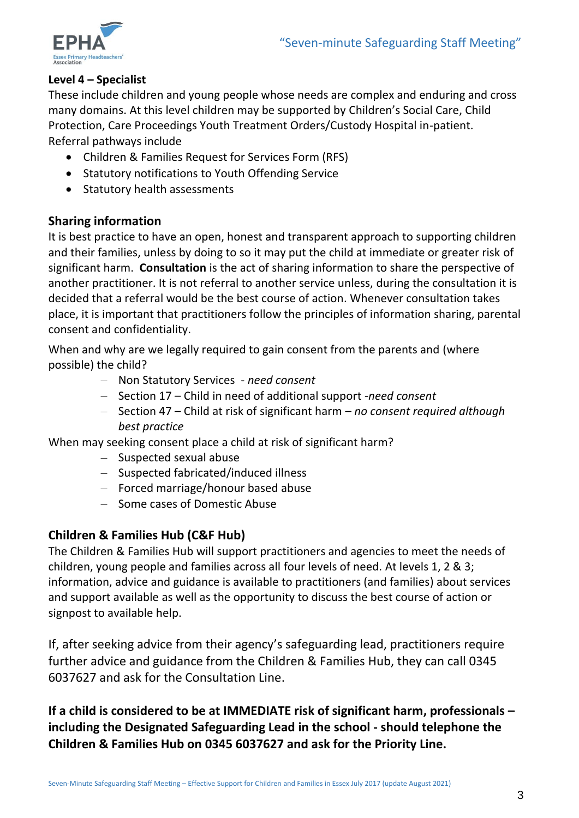

## **Level 4 – Specialist**

These include children and young people whose needs are complex and enduring and cross many domains. At this level children may be supported by Children's Social Care, Child Protection, Care Proceedings Youth Treatment Orders/Custody Hospital in-patient. Referral pathways include

- Children & Families Request for Services Form (RFS)
- Statutory notifications to Youth Offending Service
- Statutory health assessments

# **Sharing information**

It is best practice to have an open, honest and transparent approach to supporting children and their families, unless by doing to so it may put the child at immediate or greater risk of significant harm. **Consultation** is the act of sharing information to share the perspective of another practitioner. It is not referral to another service unless, during the consultation it is decided that a referral would be the best course of action. Whenever consultation takes place, it is important that practitioners follow the principles of information sharing, parental consent and confidentiality.

When and why are we legally required to gain consent from the parents and (where possible) the child?

- Non Statutory Services *need consent*
- Section 17 Child in need of additional support -*need consent*
- Section 47 Child at risk of significant harm *no consent required although best practice*

When may seeking consent place a child at risk of significant harm?

- Suspected sexual abuse
- Suspected fabricated/induced illness
- Forced marriage/honour based abuse
- Some cases of Domestic Abuse

# **Children & Families Hub (C&F Hub)**

The Children & Families Hub will support practitioners and agencies to meet the needs of children, young people and families across all four levels of need. At levels 1, 2 & 3; information, advice and guidance is available to practitioners (and families) about services and support available as well as the opportunity to discuss the best course of action or signpost to available help.

If, after seeking advice from their agency's safeguarding lead, practitioners require further advice and guidance from the Children & Families Hub, they can call 0345 6037627 and ask for the Consultation Line.

**If a child is considered to be at IMMEDIATE risk of significant harm, professionals – including the Designated Safeguarding Lead in the school - should telephone the Children & Families Hub on 0345 6037627 and ask for the Priority Line.**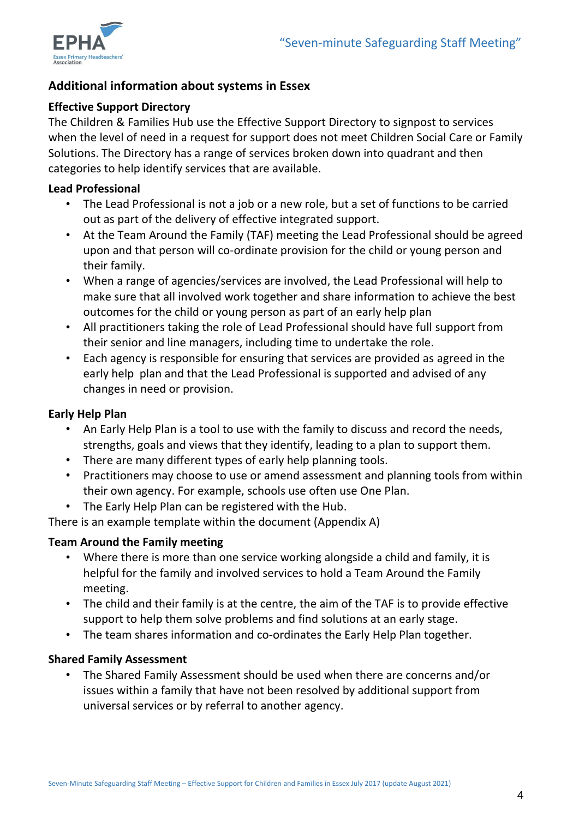

# **Additional information about systems in Essex**

# **Effective Support Directory**

The Children & Families Hub use the Effective Support Directory to signpost to services when the level of need in a request for support does not meet Children Social Care or Family Solutions. The Directory has a range of services broken down into quadrant and then categories to help identify services that are available.

### **Lead Professional**

- The Lead Professional is not a job or a new role, but a set of functions to be carried out as part of the delivery of effective integrated support.
- At the Team Around the Family (TAF) meeting the Lead Professional should be agreed upon and that person will co-ordinate provision for the child or young person and their family.
- When a range of agencies/services are involved, the Lead Professional will help to make sure that all involved work together and share information to achieve the best outcomes for the child or young person as part of an early help plan
- All practitioners taking the role of Lead Professional should have full support from their senior and line managers, including time to undertake the role.
- Each agency is responsible for ensuring that services are provided as agreed in the early help plan and that the Lead Professional is supported and advised of any changes in need or provision.

# **Early Help Plan**

- An Early Help Plan is a tool to use with the family to discuss and record the needs, strengths, goals and views that they identify, leading to a plan to support them.
- There are many different types of early help planning tools.
- Practitioners may choose to use or amend assessment and planning tools from within their own agency. For example, schools use often use One Plan.
- The Early Help Plan can be registered with the Hub.

There is an example template within the document (Appendix A)

# **Team Around the Family meeting**

- Where there is more than one service working alongside a child and family, it is helpful for the family and involved services to hold a Team Around the Family meeting.
- The child and their family is at the centre, the aim of the TAF is to provide effective support to help them solve problems and find solutions at an early stage.
- The team shares information and co-ordinates the Early Help Plan together.

### **Shared Family Assessment**

• The Shared Family Assessment should be used when there are concerns and/or issues within a family that have not been resolved by additional support from universal services or by referral to another agency.